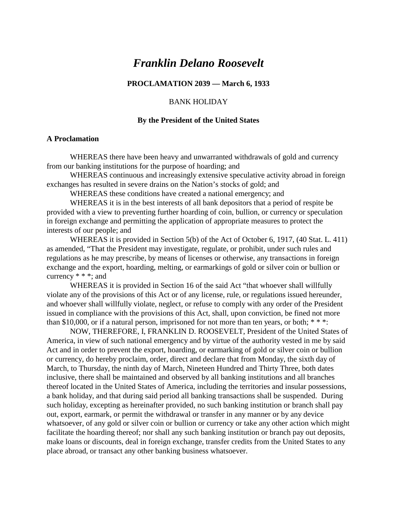# *Franklin Delano Roosevelt*

# **PROCLAMATION 2039 — March 6, 1933**

## BANK HOLIDAY

#### **By the President of the United States**

## **A Proclamation**

WHEREAS there have been heavy and unwarranted withdrawals of gold and currency from our banking institutions for the purpose of hoarding; and

WHEREAS continuous and increasingly extensive speculative activity abroad in foreign exchanges has resulted in severe drains on the Nation's stocks of gold; and

WHEREAS these conditions have created a national emergency; and

WHEREAS it is in the best interests of all bank depositors that a period of respite be provided with a view to preventing further hoarding of coin, bullion, or currency or speculation in foreign exchange and permitting the application of appropriate measures to protect the interests of our people; and

WHEREAS it is provided in Section 5(b) of the Act of October 6, 1917, (40 Stat. L. 411) as amended, "That the President may investigate, regulate, or prohibit, under such rules and regulations as he may prescribe, by means of licenses or otherwise, any transactions in foreign exchange and the export, hoarding, melting, or earmarkings of gold or silver coin or bullion or currency  $* * *$ ; and

WHEREAS it is provided in Section 16 of the said Act "that whoever shall willfully violate any of the provisions of this Act or of any license, rule, or regulations issued hereunder, and whoever shall willfully violate, neglect, or refuse to comply with any order of the President issued in compliance with the provisions of this Act, shall, upon conviction, be fined not more than \$10,000, or if a natural person, imprisoned for not more than ten years, or both;  $***$ :

NOW, THEREFORE, I, FRANKLIN D. ROOSEVELT, President of the United States of America, in view of such national emergency and by virtue of the authority vested in me by said Act and in order to prevent the export, hoarding, or earmarking of gold or silver coin or bullion or currency, do hereby proclaim, order, direct and declare that from Monday, the sixth day of March, to Thursday, the ninth day of March, Nineteen Hundred and Thirty Three, both dates inclusive, there shall be maintained and observed by all banking institutions and all branches thereof located in the United States of America, including the territories and insular possessions, a bank holiday, and that during said period all banking transactions shall be suspended. During such holiday, excepting as hereinafter provided, no such banking institution or branch shall pay out, export, earmark, or permit the withdrawal or transfer in any manner or by any device whatsoever, of any gold or silver coin or bullion or currency or take any other action which might facilitate the hoarding thereof; nor shall any such banking institution or branch pay out deposits, make loans or discounts, deal in foreign exchange, transfer credits from the United States to any place abroad, or transact any other banking business whatsoever.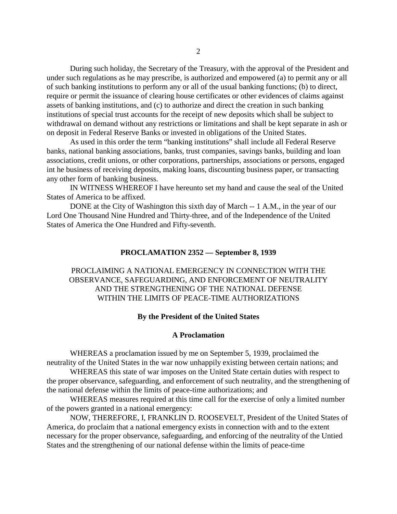During such holiday, the Secretary of the Treasury, with the approval of the President and under such regulations as he may prescribe, is authorized and empowered (a) to permit any or all of such banking institutions to perform any or all of the usual banking functions; (b) to direct, require or permit the issuance of clearing house certificates or other evidences of claims against assets of banking institutions, and (c) to authorize and direct the creation in such banking institutions of special trust accounts for the receipt of new deposits which shall be subject to withdrawal on demand without any restrictions or limitations and shall be kept separate in ash or on deposit in Federal Reserve Banks or invested in obligations of the United States.

As used in this order the term "banking institutions" shall include all Federal Reserve banks, national banking associations, banks, trust companies, savings banks, building and loan associations, credit unions, or other corporations, partnerships, associations or persons, engaged int he business of receiving deposits, making loans, discounting business paper, or transacting any other form of banking business.

IN WITNESS WHEREOF I have hereunto set my hand and cause the seal of the United States of America to be affixed.

DONE at the City of Washington this sixth day of March -- 1 A.M., in the year of our Lord One Thousand Nine Hundred and Thirty-three, and of the Independence of the United States of America the One Hundred and Fifty-seventh.

#### **PROCLAMATION 2352 — September 8, 1939**

# PROCLAIMING A NATIONAL EMERGENCY IN CONNECTION WITH THE OBSERVANCE, SAFEGUARDING, AND ENFORCEMENT OF NEUTRALITY AND THE STRENGTHENING OF THE NATIONAL DEFENSE WITHIN THE LIMITS OF PEACE-TIME AUTHORIZATIONS

# **By the President of the United States**

#### **A Proclamation**

WHEREAS a proclamation issued by me on September 5, 1939, proclaimed the neutrality of the United States in the war now unhappily existing between certain nations; and

WHEREAS this state of war imposes on the United State certain duties with respect to the proper observance, safeguarding, and enforcement of such neutrality, and the strengthening of the national defense within the limits of peace-time authorizations; and

WHEREAS measures required at this time call for the exercise of only a limited number of the powers granted in a national emergency:

NOW, THEREFORE, I, FRANKLIN D. ROOSEVELT, President of the United States of America, do proclaim that a national emergency exists in connection with and to the extent necessary for the proper observance, safeguarding, and enforcing of the neutrality of the Untied States and the strengthening of our national defense within the limits of peace-time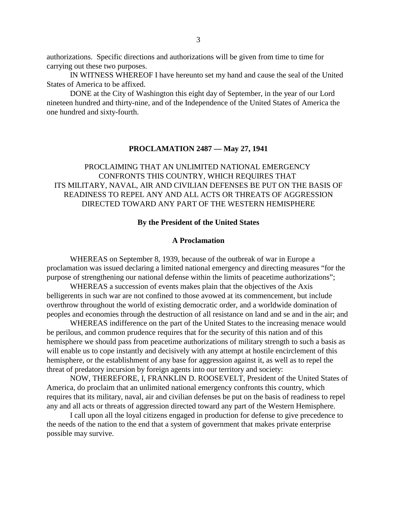authorizations. Specific directions and authorizations will be given from time to time for carrying out these two purposes.

IN WITNESS WHEREOF I have hereunto set my hand and cause the seal of the United States of America to be affixed.

DONE at the City of Washington this eight day of September, in the year of our Lord nineteen hundred and thirty-nine, and of the Independence of the United States of America the one hundred and sixty-fourth.

### **PROCLAMATION 2487 — May 27, 1941**

PROCLAIMING THAT AN UNLIMITED NATIONAL EMERGENCY CONFRONTS THIS COUNTRY, WHICH REQUIRES THAT ITS MILITARY, NAVAL, AIR AND CIVILIAN DEFENSES BE PUT ON THE BASIS OF READINESS TO REPEL ANY AND ALL ACTS OR THREATS OF AGGRESSION DIRECTED TOWARD ANY PART OF THE WESTERN HEMISPHERE

## **By the President of the United States**

## **A Proclamation**

WHEREAS on September 8, 1939, because of the outbreak of war in Europe a proclamation was issued declaring a limited national emergency and directing measures "for the purpose of strengthening our national defense within the limits of peacetime authorizations";

WHEREAS a succession of events makes plain that the objectives of the Axis belligerents in such war are not confined to those avowed at its commencement, but include overthrow throughout the world of existing democratic order, and a worldwide domination of peoples and economies through the destruction of all resistance on land and se and in the air; and

WHEREAS indifference on the part of the United States to the increasing menace would be perilous, and common prudence requires that for the security of this nation and of this hemisphere we should pass from peacetime authorizations of military strength to such a basis as will enable us to cope instantly and decisively with any attempt at hostile encirclement of this hemisphere, or the establishment of any base for aggression against it, as well as to repel the threat of predatory incursion by foreign agents into our territory and society:

NOW, THEREFORE, I, FRANKLIN D. ROOSEVELT, President of the United States of America, do proclaim that an unlimited national emergency confronts this country, which requires that its military, naval, air and civilian defenses be put on the basis of readiness to repel any and all acts or threats of aggression directed toward any part of the Western Hemisphere.

I call upon all the loyal citizens engaged in production for defense to give precedence to the needs of the nation to the end that a system of government that makes private enterprise possible may survive.